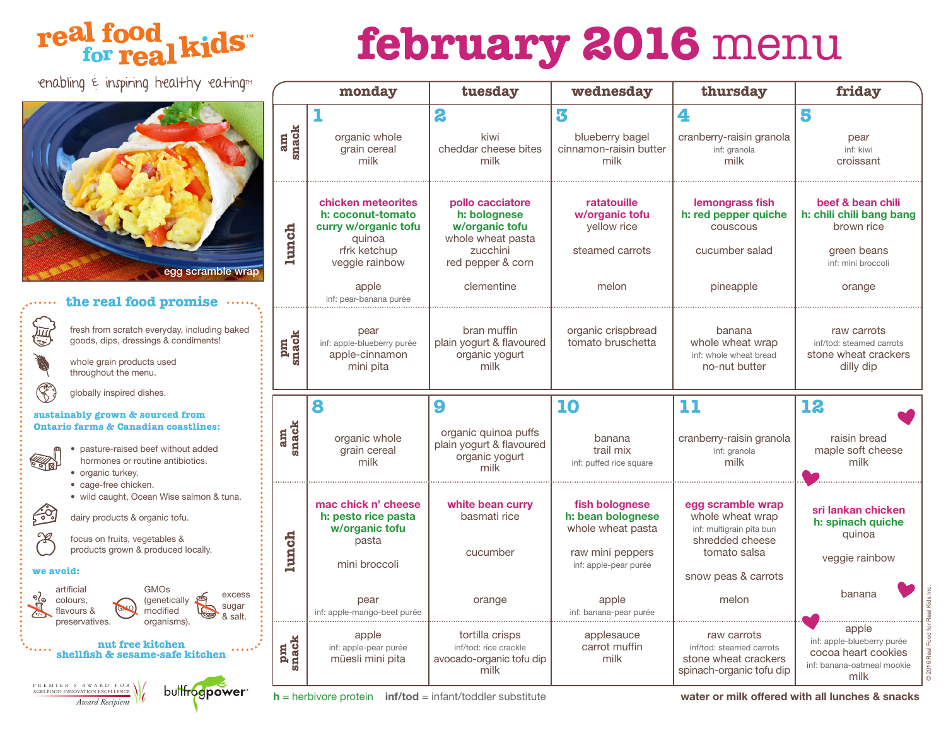### real food<br>for real kids

## **february 2016** menu

enabling  $\epsilon$  inspiring healthy eating



#### **the real food promise**

fresh from scratch everyday, including baked ιī **snack** goods, dips, dressings & condiments! **pm**  whole grain products used throughout the menu. globally inspired dishes. **sustainably grown & sourced from Ontario farms & Canadian coastlines: snack am**  • pasture-raised beef without added hormones or routine antibiotics. **KAR** • organic turkey. • cage-free chicken. • wild caught, Ocean Wise salmon & tuna. ೊ dairy products & organic tofu. **lunch** Æ focus on fruits, vegetables & products grown & produced locally. **we avoid:** artificial GMOs excess colours, (genetically sugar flavours & GMO modified & sugar preservatives. organisms). **snack nut free kitchen pm**   $\bullet\bullet\bullet\bullet$ **shellfish & sesame-safe kitchen** PREMIER'S A W ARD FO R AGRI-FOOD INNOVATION EXCELLENCE buttfrogpower *Award Recipient*

|             | monday                                                                                                                                         | tuesday<br>wednesday                                                                                                   |                                                                                                       | thursday                                                                                                                    | friday                                                                                                                                            |  |
|-------------|------------------------------------------------------------------------------------------------------------------------------------------------|------------------------------------------------------------------------------------------------------------------------|-------------------------------------------------------------------------------------------------------|-----------------------------------------------------------------------------------------------------------------------------|---------------------------------------------------------------------------------------------------------------------------------------------------|--|
| am<br>snack | 1<br>organic whole<br>grain cereal<br>milk                                                                                                     | 2<br>kiwi<br>cheddar cheese bites<br>milk                                                                              | 3<br>blueberry bagel<br>cinnamon-raisin butter<br>milk                                                | 4<br>cranberry-raisin granola<br>inf: granola<br>milk                                                                       | 5<br>pear<br>inf: kiwi<br>croissant<br>beef & bean chili<br>h: chili chili bang bang<br>brown rice<br>green beans<br>inf: mini broccoli<br>orange |  |
| lunch       | chicken meteorites<br>h: coconut-tomato<br>curry w/organic tofu<br>quinoa<br>rfrk ketchup<br>veggie rainbow<br>apple<br>inf: pear-banana purée | pollo cacciatore<br>h: bolognese<br>w/organic tofu<br>whole wheat pasta<br>zucchini<br>red pepper & corn<br>clementine | ratatouille<br>w/organic tofu<br>yellow rice<br>steamed carrots<br>melon                              | lemongrass fish<br>h: red pepper quiche<br>couscous<br>cucumber salad<br>pineapple                                          |                                                                                                                                                   |  |
| pm<br>snack | pear<br>inf: apple-blueberry purée<br>apple-cinnamon<br>mini pita                                                                              | bran muffin<br>plain yogurt & flavoured<br>organic yogurt<br>milk                                                      | organic crispbread<br>tomato bruschetta                                                               | banana<br>whole wheat wrap<br>inf: whole wheat bread<br>no-nut butter                                                       | raw carrots<br>inf/tod: steamed carrots<br>stone wheat crackers<br>dilly dip                                                                      |  |
| am<br>snack | 8<br>organic whole<br>grain cereal<br>milk                                                                                                     | 9<br>organic quinoa puffs<br>plain yogurt & flavoured<br>organic yogurt<br>milk                                        | 10<br>banana<br>trail mix<br>inf: puffed rice square                                                  | 11<br>cranberry-raisin granola<br>inf: granola<br>milk                                                                      | 12<br>raisin bread<br>maple soft cheese<br>milk                                                                                                   |  |
| lunch       | mac chick n' cheese<br>h: pesto rice pasta<br>w/organic tofu<br>pasta<br>mini broccoli                                                         | white bean curry<br>basmati rice<br>cucumber                                                                           | fish bolognese<br>h: bean bolognese<br>whole wheat pasta<br>raw mini peppers<br>inf: apple-pear purée | egg scramble wrap<br>whole wheat wrap<br>inf: multigrain pita bun<br>shredded cheese<br>tomato salsa<br>snow peas & carrots | sri lankan chicken<br>h: spinach quiche<br>quinoa<br>veggie rainbow                                                                               |  |
|             | pear<br>inf: apple-mango-beet purée                                                                                                            | orange                                                                                                                 |                                                                                                       | melon                                                                                                                       | banana                                                                                                                                            |  |
| snack<br>pm | apple<br>inf: apple-pear purée<br>müesli mini pita                                                                                             | tortilla crisps<br>inf/tod: rice crackle<br>avocado-organic tofu dip<br>milk                                           | applesauce<br>carrot muffin<br>milk                                                                   | raw carrots<br>inf/tod: steamed carrots<br>stone wheat crackers<br>spinach-organic tofu dip                                 | apple<br>inf: apple-blueberry purée<br>cocoa heart cookies<br>inf: banana-oatmeal mookie<br>milk                                                  |  |

**h** = herbivore protein **inf/tod** = infant/toddler substitute **water or milk offered with all lunches & snacks**